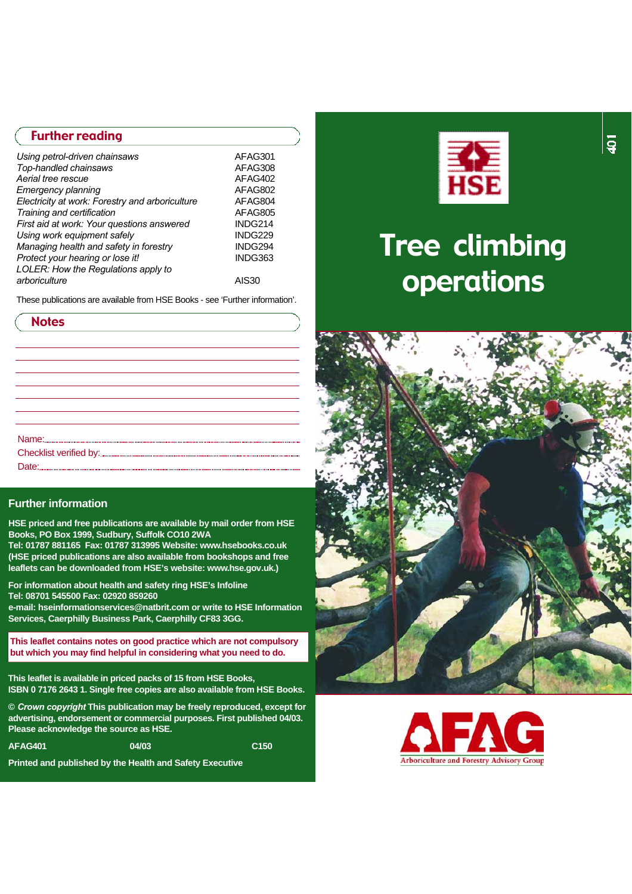## Further reading

| AFAG301 |
|---------|
| AFAG308 |
| AFAG402 |
| AFAG802 |
| AFAG804 |
| AFAG805 |
| INDG214 |
| INDG229 |
| INDG294 |
| INDG363 |
|         |
| AIS30   |
|         |

These publications are available from HSE Books - see 'Further information'.

| <b>Notes</b> |
|--------------|
|              |
|              |
|              |
|              |
|              |
|              |
|              |

#### **Further information**

**HSE priced and free publications are available by mail order from HSE Books, PO Box 1999, Sudbury, Suffolk CO10 2WA**

Tel: 01787 881165 Fax: 01787 313995 Website: www.hsebooks.co.uk **(HSE priced publications are also available from bookshops and free** leaflets can be downloaded from HSE's website: www.hse.gov.uk.)

**For information about health and safety ring HSE's Infoline Tel: 08701 545500 Fax: 02920 859260** 

**e-mail: hseinformationservices@natbrit.com or write to HSE Information Services, Caerphilly Business Park, Caerphilly CF83 3GG.** 

**This leaflet contains notes on good practice which are not compulsory but which you may find helpful in considering what you need to do.**

**This leaflet is available in priced packs of 15 from HSE Books, ISBN 0 7176 2643 1. Single free copies are also available from HSE Books.** 

**©** *Crown copyright* **This publication may be freely reproduced, except for advertising, endorsement or commercial purposes. First published 04/03. Please acknowledge the source as HSE.**

**A FA G 401 04/03 C 150** 

**Printed and published by the Health and Safety Executive**



# Tree climbing o perations



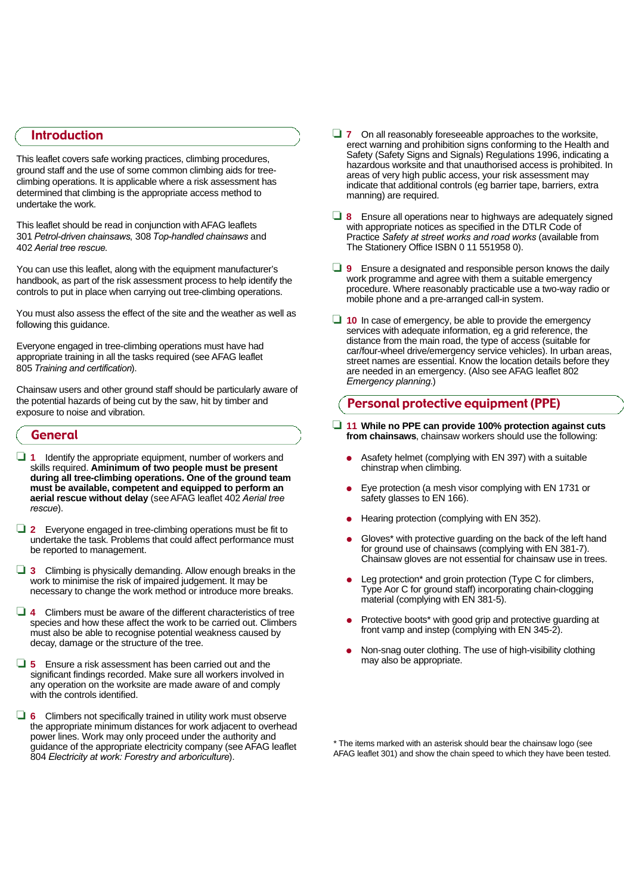# Introduction

This leaflet covers safe working practices, climbing procedures, ground staff and the use of some common climbing aids for treeclimbing operations. It is applicable where a risk assessment has determined that climbing is the appropriate access method to undertake the work.

This leaflet should be read in conjunction with AFAG leaflets 301 *Petrol-driven chainsaws*, 308 *Top-handled chainsaws* and 402 *Aerial tree rescue*.

You can use this leaflet, along with the equipment manufacturer's handbook, as part of the risk assessment process to help identify the controls to put in place when carrying out tree-climbing operations.

You must also assess the effect of the site and the weather as well as following this guidance.

Everyone engaged in tree-climbing operations must have had appropriate training in all the tasks required (see AFAG leaflet 805 *Training and certification*) .

Chainsaw users and other ground staff should be particularly aware of the potential hazards of being cut by the saw, hit by timber and exposure to noise and vibration.

## General

❏ **1** Identify the appropriate equipment, number of workers and skills required. **Aminimum of two people must be present during all tree-climbing operations. One of the ground team must be available, competent and equipped to perform an aerial rescue without delay** (seeA FAG leaflet 402 *Aerial tree*  $rescue$ ).

❏ **2** Everyone engaged in tree-climbing operations must be fit to undertake the task. Problems that could affect performance must be reported to management.

- ❏ **3** Climbing is physically demanding. Allow enough breaks in the work to minimise the risk of impaired judgement. It may be necessary to change the work method or introduce more breaks.
- ❏ **4** Climbers must be aware of the different characteristics of tree species and how these affect the work to be carried out. Climbers must also be able to recognise potential weakness caused by decay, damage or the structure of the tree.
- ❏ **5** Ensure a risk assessment has been carried out and the significant findings recorded. Make sure all workers involved in any operation on the worksite are made aware of and comply with the controls identified.
- ❏ **6** Climbers not specifically trained in utility work must observe the appropriate minimum distances for work adjacent to overhead power lines. Work may only proceed under the authority and guidance of the appropriate electricity company (see A FAG leaflet 804 *Electricity at work: Forestry and arboriculture*).
- ❏ **7** On all reasonably foreseeable approaches to the worksite, erect warning and prohibition signs conforming to the Health and Safety (Safety Signs and Signals) Regulations 1996, indicating a hazardous worksite and that unauthorised access is prohibited. In areas of very high public access, your risk assessment may indicate that additional controls (eg barrier tape, barriers, extra manning) are required.
- ❏ **8** Ensure all operations near to highways are adequately signed with appropriate notices as specified in the DTLR Code of Practice *Safety at street works and road works* (available from The Stationery Office ISBN 0 11 551958 0).
- ❏ **9** Ensure a designated and responsible person knows the daily work programme and agree with them a suitable emergency procedure. Where reasonably practicable use a two-way radio or mobile phone and a pre-arranged call-in system.
- ❏ **1 0** In case of emergency, be able to provide the emergency services with adequate information, eg a grid reference, the distance from the main road, the type of access (suitable for car/four-wheel drive/emergency service vehicles). In urban areas, street names are essential. Know the location details before they are needed in an emergency. (Also see AFAG leaflet 802 *Emergency planning*. )

## Personal protective equipment (PPE)

- ❏ **11 While no PPE can provide 100% protection against cuts from chainsaws**, chainsaw workers should use the following:
	- Asafety helmet (complying with EN 397) with a suitable chinstrap when climbing.
	- Eye protection (a mesh visor complying with EN 1731 or safety glasses to EN 166).
	- Hearing protection (complying with EN 352).
	- Gloves\* with protective guarding on the back of the left hand for ground use of chainsaws (complying with EN 381-7). Chainsaw gloves are not essential for chainsaw use in trees.
	- Leg protection\* and groin protection (Type C for climbers, Type Aor C for ground staff) incorporating chain-clogging material (complying with EN 381-5).
	- Protective boots\* with good grip and protective guarding at front vamp and instep (complying with EN 345-2).
	- Non-snag outer clothing. The use of high-visibility clothing may also be appropriate.

\* The items marked with an asterisk should bear the chainsaw logo (see AFAG leaflet 301) and show the chain speed to which they have been tested.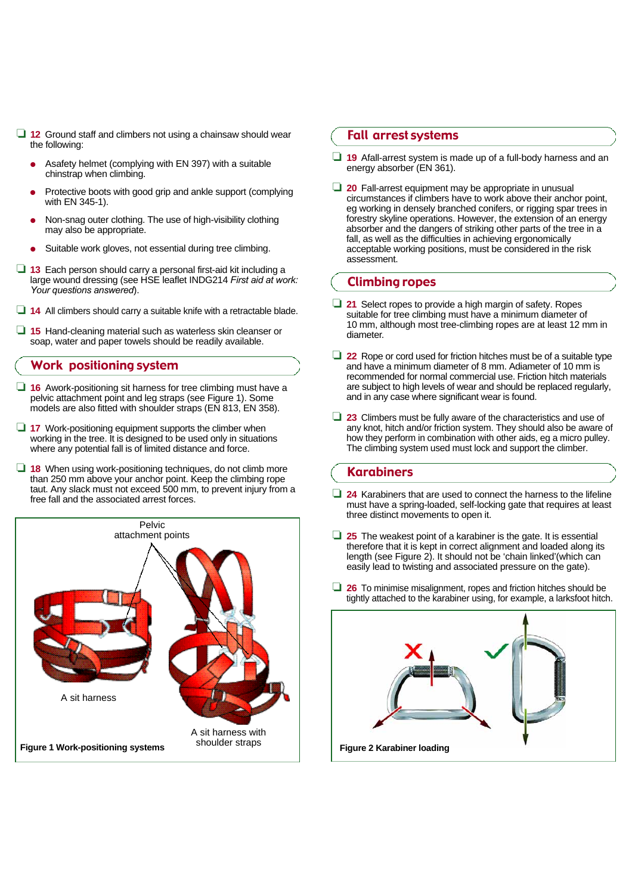- ❏ **1 2** Ground staff and climbers not using a chainsaw should wear the following:
	- Asafety helmet (complying with EN 397) with a suitable chinstrap when climbing.
	- Protective boots with good grip and ankle support (complying with EN 345-1).
	- Non-snag outer clothing. The use of high-visibility clothing may also be appropriate.
	- Suitable work gloves, not essential during tree climbing.
- ❏ **1 3** Each person should carry a personal first-aid kit including a large wound dressing (see HSE leaflet INDG214 *First aid at work: Your questions answered*).
- ❏ **1 4** All climbers should carry a suitable knife with a retractable blade.
- □ 15 Hand-cleaning material such as waterless skin cleanser or soap, water and paper towels should be readily available.

#### Work positioning system

- ❏ **1 6** Awork-positioning sit harness for tree climbing must have a pelvic attachment point and leg straps (see Figure 1). Some models are also fitted with shoulder straps (EN 813, EN 358).
- ❏ **1 7** Work-positioning equipment supports the climber when working in the tree. It is designed to be used only in situations where any potential fall is of limited distance and force.
- ❏ **1 8** When using work-positioning techniques, do not climb more than 250 mm above your anchor point. Keep the climbing rope taut. Any slack must not exceed 500 mm, to prevent injury from a free fall and the associated arrest forces.



## Fall arrest systems

- ❏ **1 9** Afall-arrest system is made up of a full-body harness and an energy absorber (EN 361).
- □ 20 Fall-arrest equipment may be appropriate in unusual circumstances if climbers have to work above their anchor point, eg working in densely branched conifers, or rigging spar trees in forestry skyline operations. However, the extension of an energy absorber and the dangers of striking other parts of the tree in a fall, as well as the difficulties in achieving ergonomically acceptable working positions, must be considered in the risk assessment.

#### Climbing ropes

- □ 21 Select ropes to provide a high margin of safety. Ropes suitable for tree climbing must have a minimum diameter of 10 mm, although most tree-climbing ropes are at least 12 mm in diameter.
- ❏ **2 2** Rope or cord used for friction hitches must be of a suitable type and have a minimum diameter of 8 mm. Adiameter of 10 mm is recommended for normal commercial use. Friction hitch materials are subject to high levels of wear and should be replaced regularly, and in any case where significant wear is found.
- ❏ **2 3** Climbers must be fully aware of the characteristics and use of any knot, hitch and/or friction system. They should also be aware of how they perform in combination with other aids, eg a micro pulley. The climbing system used must lock and support the climber.

## Karabiners

- ❏ **2 4** Karabiners that are used to connect the harness to the lifeline must have a spring-loaded, self-locking gate that requires at least three distinct movements to open it.
- ❏ **2 5** The weakest point of a karabiner is the gate. It is essential therefore that it is kept in correct alignment and loaded along its length (see Figure 2). It should not be 'chain linked'(which can easily lead to twisting and associated pressure on the gate).
- □ 26 To minimise misalignment, ropes and friction hitches should be tightly attached to the karabiner using, for example, a larksfoot hitch.

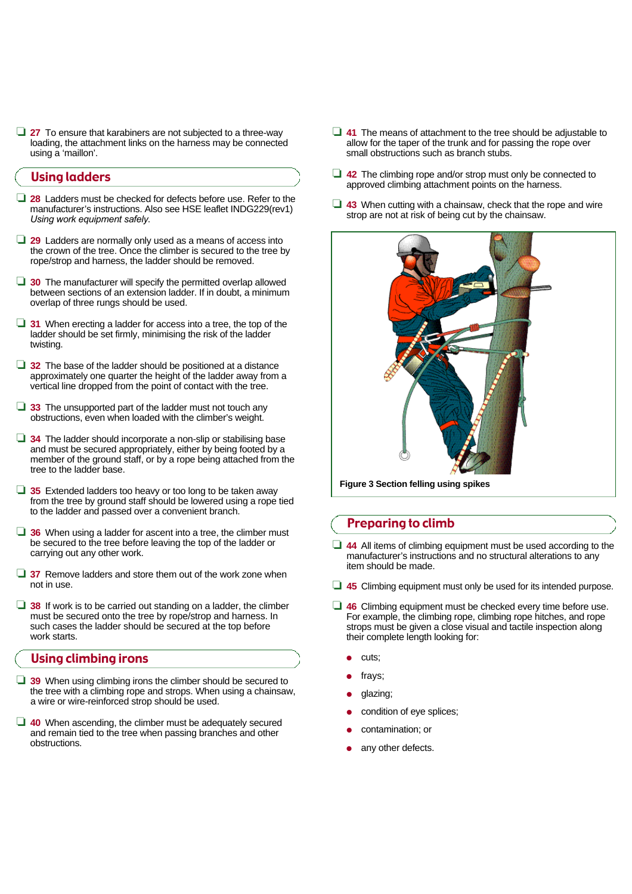□ 27 To ensure that karabiners are not subjected to a three-way loading, the attachment links on the harness may be connected using a 'maillon'.

#### Using ladders

- □ 28 Ladders must be checked for defects before use. Refer to the manufacturer's instructions. Also see HSE leaflet INDG229(rev1) *Using work equipment safely*.
- □ 29 Ladders are normally only used as a means of access into the crown of the tree. Once the climber is secured to the tree by rope/strop and harness, the ladder should be removed.
- **□ 30** The manufacturer will specify the permitted overlap allowed between sections of an extension ladder. If in doubt, a minimum overlap of three rungs should be used.
- **□ 31** When erecting a ladder for access into a tree, the top of the ladder should be set firmly, minimising the risk of the ladder twisting.
- □ 32 The base of the ladder should be positioned at a distance approximately one quarter the height of the ladder away from a vertical line dropped from the point of contact with the tree.
- ❏ **3 3** The unsupported part of the ladder must not touch any obstructions, even when loaded with the climber's weight.
- ❏ **3 4** The ladder should incorporate a non-slip or stabilising base and must be secured appropriately, either by being footed by a member of the ground staff, or by a rope being attached from the tree to the ladder base.
- □ 35 Extended ladders too heavy or too long to be taken away from the tree by ground staff should be lowered using a rope tied to the ladder and passed over a convenient branch.
- □ 36 When using a ladder for ascent into a tree, the climber must be secured to the tree before leaving the top of the ladder or carrying out any other work.
- **□ 37** Remove ladders and store them out of the work zone when not in use.
- ❏ **3 8** If work is to be carried out standing on a ladder, the climber must be secured onto the tree by rope/strop and harness. In such cases the ladder should be secured at the top before work starts.

## Using climbing irons

- □ 39 When using climbing irons the climber should be secured to the tree with a climbing rope and strops. When using a chainsaw, a wire or wire-reinforced strop should be used.
- ❏ **4 0** When ascending, the climber must be adequately secured and remain tied to the tree when passing branches and other obstructions.
- ❏ **4 1** The means of attachment to the tree should be adjustable to allow for the taper of the trunk and for passing the rope over small obstructions such as branch stubs.
- ❏ **4 2** The climbing rope and/or strop must only be connected to approved climbing attachment points on the harness.
- **□ 43** When cutting with a chainsaw, check that the rope and wire strop are not at risk of being cut by the chainsaw.



#### **Figure 3 Section felling using spikes**

#### Preparing to climb

- ❏ **4 4** All items of climbing equipment must be used according to the manufacturer's instructions and no structural alterations to any item should be made.
- ❏ **4 5** Climbing equipment must only be used for its intended purpose.
- **□ 46** Climbing equipment must be checked every time before use. For example, the climbing rope, climbing rope hitches, and rope strops must be given a close visual and tactile inspection along their complete length looking for:
	- cuts;
	- frays;
	- glazing;
	- condition of eye splices;
	- contamination; or
	- any other defects.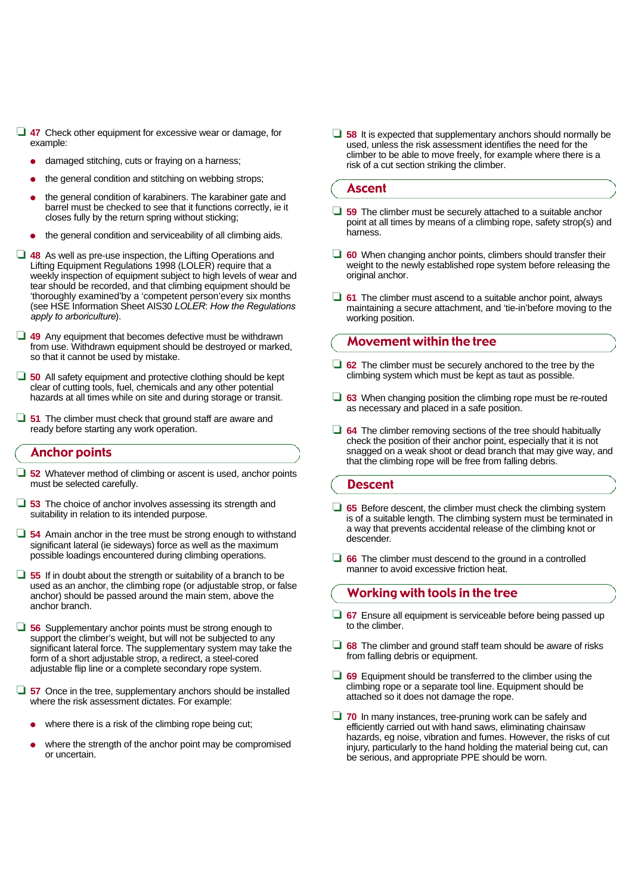- □ 47 Check other equipment for excessive wear or damage, for example:
	- damaged stitching, cuts or fraying on a harness;
	- the general condition and stitching on webbing strops;
	- the general condition of karabiners. The karabiner gate and barrel must be checked to see that it functions correctly, ie it closes fully by the return spring without sticking;
	- the general condition and serviceability of all climbing aids.
- ❏ **4 8** As well as pre-use inspection, the Lifting Operations and Lifting Equipment Regulations 1998 (LOLER) require that a weekly inspection of equipment subject to high levels of wear and tear should be recorded, and that climbing equipment should be 'thoroughly examined'by a 'competent person'every six months (see HSE Information Sheet AIS30 *L O L E R*: *How the Regulations apply to arboriculture*).
- ❏ **4 9** Any equipment that becomes defective must be withdrawn from use. Withdrawn equipment should be destroyed or marked, so that it cannot be used by mistake.
- **□ 50** All safety equipment and protective clothing should be kept clear of cutting tools, fuel, chemicals and any other potential hazards at all times while on site and during storage or transit.
- □ 51 The climber must check that ground staff are aware and ready before starting any work operation.

#### Anchor points

- □ 52 Whatever method of climbing or ascent is used, anchor points must be selected carefully.
- ❏ **5 3** The choice of anchor involves assessing its strength and suitability in relation to its intended purpose.
- **□ 54** Amain anchor in the tree must be strong enough to withstand significant lateral (ie sideways) force as well as the maximum possible loadings encountered during climbing operations.
- ❏ **5 5** If in doubt about the strength or suitability of a branch to be used as an anchor, the climbing rope (or adjustable strop, or false anchor) should be passed around the main stem, above the anchor branch.
- ❏ **5 6** Supplementary anchor points must be strong enough to support the climber's weight, but will not be subjected to any significant lateral force. The supplementary system may take the form of a short adjustable strop, a redirect, a steel-cored adjustable flip line or a complete secondary rope system.
- **□ 57** Once in the tree, supplementary anchors should be installed where the risk assessment dictates. For example:
	- where there is a risk of the climbing rope being cut;
	- where the strength of the anchor point may be compromised or uncertain.

❏ **5 8** It is expected that supplementary anchors should normally be used, unless the risk assessment identifies the need for the climber to be able to move freely, for example where there is a risk of a cut section striking the climber.

## Ascent

- ❏ **5 9** The climber must be securely attached to a suitable anchor point at all times by means of a climbing rope, safety strop(s) and harness.
- **□ 60** When changing anchor points, climbers should transfer their weight to the newly established rope system before releasing the original anchor.
- ❏ **6 1** The climber must ascend to a suitable anchor point, always maintaining a secure attachment, and 'tie-in'before moving to the working position.

## Movement within the tree

- ❏ **6 2** The climber must be securely anchored to the tree by the climbing system which must be kept as taut as possible.
- **□ 63** When changing position the climbing rope must be re-routed as necessary and placed in a safe position.
- ❏ **6 4** The climber removing sections of the tree should habitually check the position of their anchor point, especially that it is not snagged on a weak shoot or dead branch that may give way, and that the climbing rope will be free from falling debris.

#### **Descent**

- □ 65 Before descent, the climber must check the climbing system is of a suitable length. The climbing system must be terminated in a way that prevents accidental release of the climbing knot or descender.
- ❏ **6 6** The climber must descend to the ground in a controlled manner to avoid excessive friction heat.

## Working with tools in the tree

- □ 67 Ensure all equipment is serviceable before being passed up to the climber.
- ❏ **6 8** The climber and ground staff team should be aware of risks from falling debris or equipment.
- ❏ **6 9** Equipment should be transferred to the climber using the climbing rope or a separate tool line. Equipment should be attached so it does not damage the rope.
- ❏ **7 0** In many instances, tree-pruning work can be safely and efficiently carried out with hand saws, eliminating chainsaw hazards, eg noise, vibration and fumes. However, the risks of cut injury, particularly to the hand holding the material being cut, can be serious, and appropriate PPE should be worn.